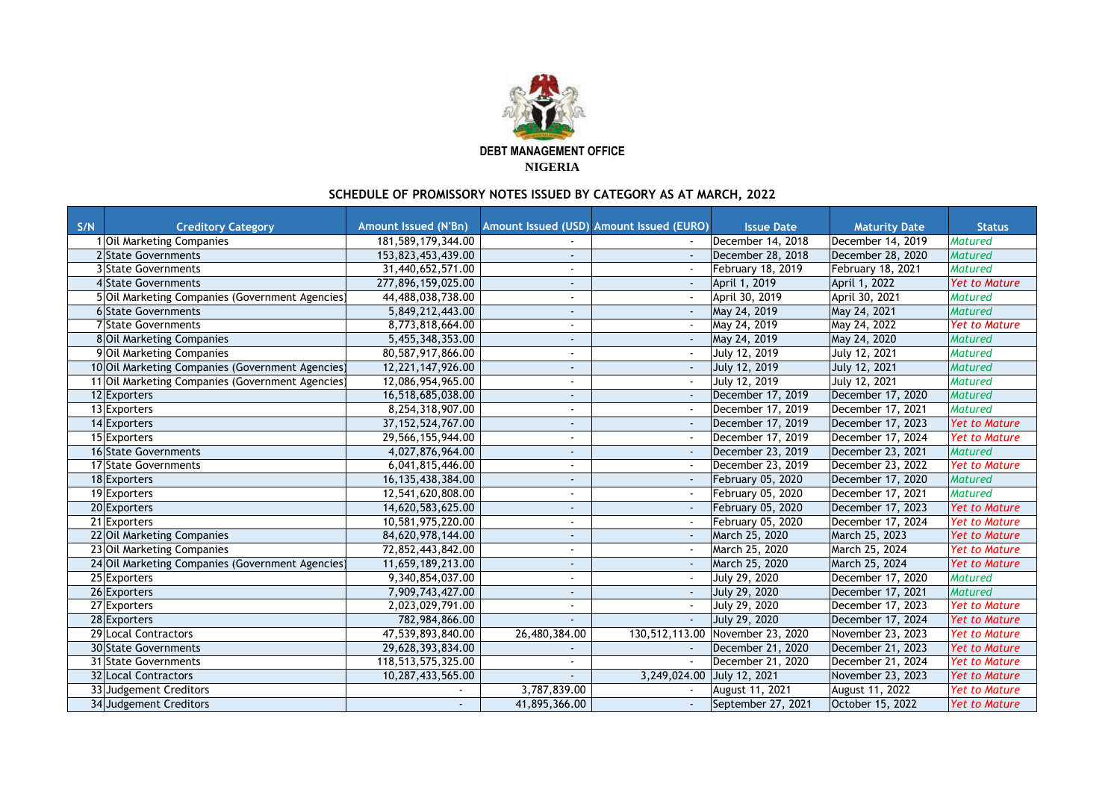| S/N | <b>Creditory Category</b>                        | <b>Amount Issued (N'Bn)</b> |                          | Amount Issued (USD) Amount Issued (EURO) | <b>Issue Date</b>        | <b>Maturity Date</b>     | <b>Status</b>        |
|-----|--------------------------------------------------|-----------------------------|--------------------------|------------------------------------------|--------------------------|--------------------------|----------------------|
|     | <b>Oil Marketing Companies</b>                   | 181,589,179,344.00          |                          |                                          | December 14, 2018        | December 14, 2019        | <b>Matured</b>       |
|     | 2 State Governments                              | 153,823,453,439.00          |                          |                                          | December 28, 2018        | December 28, 2020        | Matured              |
|     | <b>3</b> State Governments                       | 31,440,652,571.00           |                          |                                          | <b>February 18, 2019</b> | <b>February 18, 2021</b> | <b>Matured</b>       |
|     | 4State Governments                               | 277,896,159,025.00          |                          |                                          | April 1, 2019            | April 1, 2022            | <b>Yet to Mature</b> |
|     | 5 Oil Marketing Companies (Government Agencies)  | 44,488,038,738.00           | $\blacksquare$           |                                          | April 30, 2019           | April 30, 2021           | <b>Matured</b>       |
|     | 6 State Governments                              | 5,849,212,443.00            |                          |                                          | May 24, 2019             | May 24, 2021             | <b>Matured</b>       |
|     | 7 State Governments                              | 8,773,818,664.00            |                          |                                          | May 24, 2019             | May 24, 2022             | <b>Yet to Mature</b> |
|     | 8 Oil Marketing Companies                        | 5,455,348,353.00            | $\sim$                   |                                          | May 24, 2019             | May 24, 2020             | <b>Matured</b>       |
|     | 9 Oil Marketing Companies                        | 80,587,917,866.00           |                          |                                          | July 12, 2019            | <b>July 12, 2021</b>     | <b>Matured</b>       |
|     | 10 Oil Marketing Companies (Government Agencies) | 12,221,147,926.00           |                          |                                          | July 12, 2019            | <b>July 12, 2021</b>     | <b>Matured</b>       |
|     | 11 Oil Marketing Companies (Government Agencies) | 12,086,954,965.00           |                          |                                          | July 12, 2019            | July 12, 2021            | <b>Matured</b>       |
|     | 12 Exporters                                     | 16,518,685,038.00           | $\sim$                   |                                          | December 17, 2019        | December 17, 2020        | Matured              |
|     | 13 Exporters                                     | 8,254,318,907.00            |                          |                                          | December 17, 2019        | December 17, 2021        | <b>Matured</b>       |
|     | 14 Exporters                                     | 37, 152, 524, 767.00        | $\sim$                   |                                          | December 17, 2019        | December 17, 2023        | <b>Yet to Mature</b> |
|     | 15 Exporters                                     | 29,566,155,944.00           |                          |                                          | December 17, 2019        | December 17, 2024        | <b>Yet to Mature</b> |
|     | 16 State Governments                             | 4,027,876,964.00            | $\sim$                   |                                          | December 23, 2019        | December 23, 2021        | Matured              |
|     | 17 State Governments                             | 6,041,815,446.00            |                          |                                          | December 23, 2019        | December 23, 2022        | <b>Yet to Mature</b> |
|     | 18 Exporters                                     | 16,135,438,384.00           |                          |                                          | February 05, 2020        | December 17, 2020        | Matured              |
|     | 19 Exporters                                     | 12,541,620,808.00           |                          |                                          | <b>February 05, 2020</b> | December 17, 2021        | <b>Matured</b>       |
|     | 20 Exporters                                     | 14,620,583,625.00           | $\sim$                   |                                          | February 05, 2020        | December 17, 2023        | <b>Yet to Mature</b> |
|     | 21 Exporters                                     | 10,581,975,220.00           |                          |                                          | February 05, 2020        | December 17, 2024        | <b>Yet to Mature</b> |
|     | 22 Oil Marketing Companies                       | 84,620,978,144.00           |                          |                                          | March 25, 2020           | March 25, 2023           | <b>Yet to Mature</b> |
|     | 23 Oil Marketing Companies                       | 72,852,443,842.00           |                          |                                          | March 25, 2020           | March 25, 2024           | <b>Yet to Mature</b> |
|     | 24 Oil Marketing Companies (Government Agencies) | 11,659,189,213.00           | $\overline{\phantom{a}}$ |                                          | March 25, 2020           | March 25, 2024           | <b>Yet to Mature</b> |
|     | 25 Exporters                                     | 9,340,854,037.00            |                          |                                          | July 29, 2020            | December 17, 2020        | <b>Matured</b>       |
|     | 26 Exporters                                     | 7,909,743,427.00            |                          |                                          | <b>July 29, 2020</b>     | December 17, 2021        | Matured              |
|     | 27 Exporters                                     | 2,023,029,791.00            |                          |                                          | July 29, 2020            | December 17, 2023        | <b>Yet to Mature</b> |
|     | 28 Exporters                                     | 782,984,866.00              |                          |                                          | July 29, 2020            | December 17, 2024        | <b>Yet to Mature</b> |
|     | 29 Local Contractors                             | 47,539,893,840.00           | 26,480,384.00            | 130,512,113.00                           | November 23, 2020        | November 23, 2023        | <b>Yet to Mature</b> |
|     | <b>30 State Governments</b>                      | 29,628,393,834.00           |                          |                                          | December 21, 2020        | December 21, 2023        | <b>Yet to Mature</b> |
|     | <b>31 State Governments</b>                      | 118,513,575,325.00          |                          |                                          | December 21, 2020        | December 21, 2024        | <b>Yet to Mature</b> |
|     | <b>32 Local Contractors</b>                      | 10,287,433,565.00           |                          | 3,249,024.00                             | July 12, 2021            | November 23, 2023        | <b>Yet to Mature</b> |
|     | 33 Judgement Creditors                           |                             | 3,787,839.00             |                                          | August 11, 2021          | <b>August 11, 2022</b>   | <b>Yet to Mature</b> |
|     | 34 Judgement Creditors                           | $\sim$ .                    | 41,895,366.00            |                                          | September 27, 2021       | October 15, 2022         | <b>Yet to Mature</b> |



**DEBT MANAGEMENT OFFICE NIGERIA**

## **SCHEDULE OF PROMISSORY NOTES ISSUED BY CATEGORY AS AT MARCH, 2022**